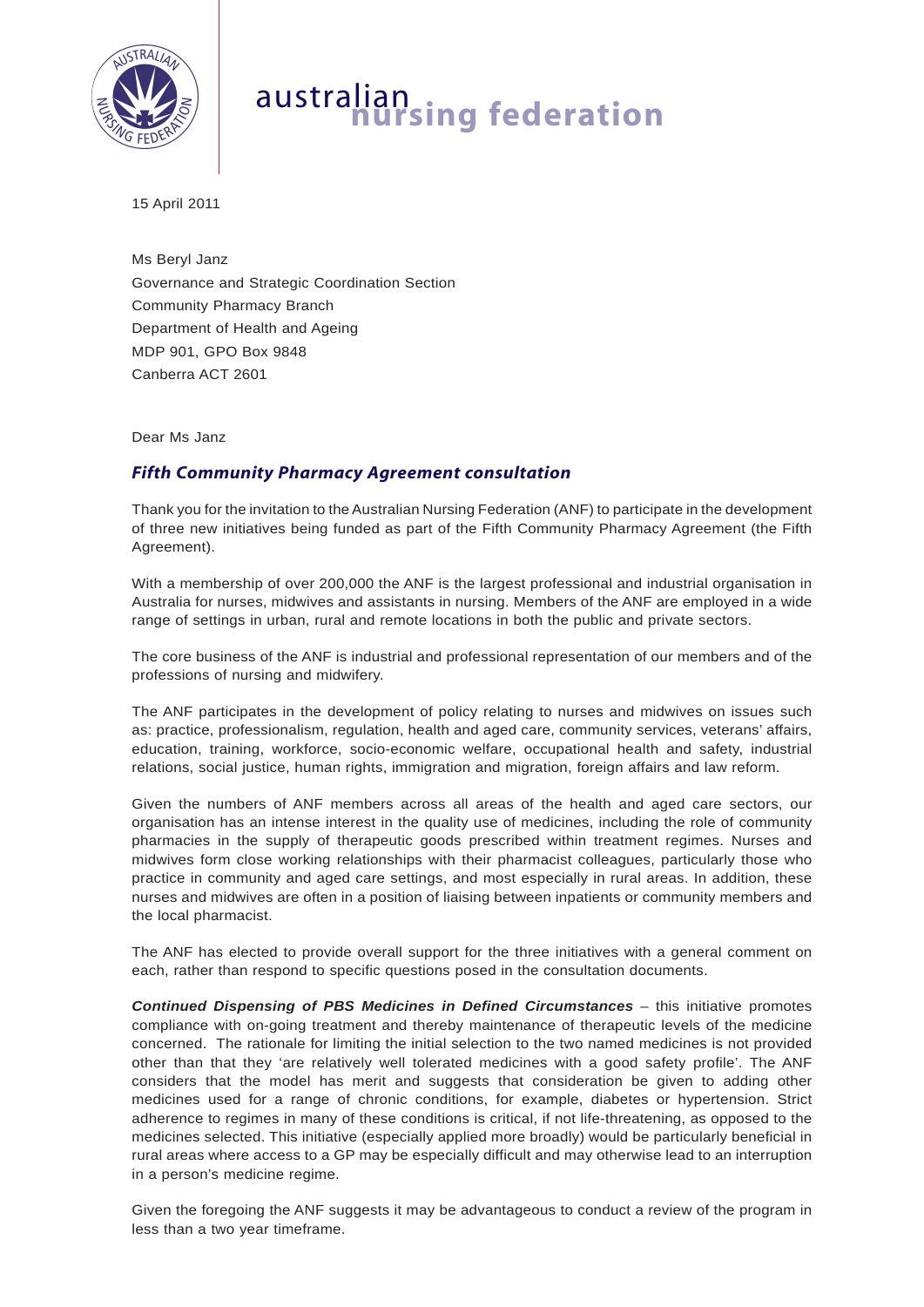

## australian **nursing federation**

15 April 2011

Ms Beryl Janz Governance and Strategic Coordination Section Community Pharmacy Branch Department of Health and Ageing MDP 901, GPO Box 9848 Canberra ACT 2601

Dear Ms Janz

## *Fifth Community Pharmacy Agreement consultation*

Thank you for the invitation to the Australian Nursing Federation (ANF) to participate in the development of three new initiatives being funded as part of the Fifth Community Pharmacy Agreement (the Fifth Agreement).

With a membership of over 200,000 the ANF is the largest professional and industrial organisation in Australia for nurses, midwives and assistants in nursing. Members of the ANF are employed in a wide range of settings in urban, rural and remote locations in both the public and private sectors.

The core business of the ANF is industrial and professional representation of our members and of the professions of nursing and midwifery.

The ANF participates in the development of policy relating to nurses and midwives on issues such as: practice, professionalism, regulation, health and aged care, community services, veterans' affairs, education, training, workforce, socio-economic welfare, occupational health and safety, industrial relations, social justice, human rights, immigration and migration, foreign affairs and law reform.

Given the numbers of ANF members across all areas of the health and aged care sectors, our organisation has an intense interest in the quality use of medicines, including the role of community pharmacies in the supply of therapeutic goods prescribed within treatment regimes. Nurses and midwives form close working relationships with their pharmacist colleagues, particularly those who practice in community and aged care settings, and most especially in rural areas. In addition, these nurses and midwives are often in a position of liaising between inpatients or community members and the local pharmacist.

The ANF has elected to provide overall support for the three initiatives with a general comment on each, rather than respond to specific questions posed in the consultation documents.

*Continued Dispensing of PBS Medicines in Defined Circumstances* – this initiative promotes compliance with on-going treatment and thereby maintenance of therapeutic levels of the medicine concerned. The rationale for limiting the initial selection to the two named medicines is not provided other than that they 'are relatively well tolerated medicines with a good safety profile'. The ANF considers that the model has merit and suggests that consideration be given to adding other medicines used for a range of chronic conditions, for example, diabetes or hypertension. Strict adherence to regimes in many of these conditions is critical, if not life-threatening, as opposed to the medicines selected. This initiative (especially applied more broadly) would be particularly beneficial in rural areas where access to a GP may be especially difficult and may otherwise lead to an interruption in a person's medicine regime.

Given the foregoing the ANF suggests it may be advantageous to conduct a review of the program in less than a two year timeframe.